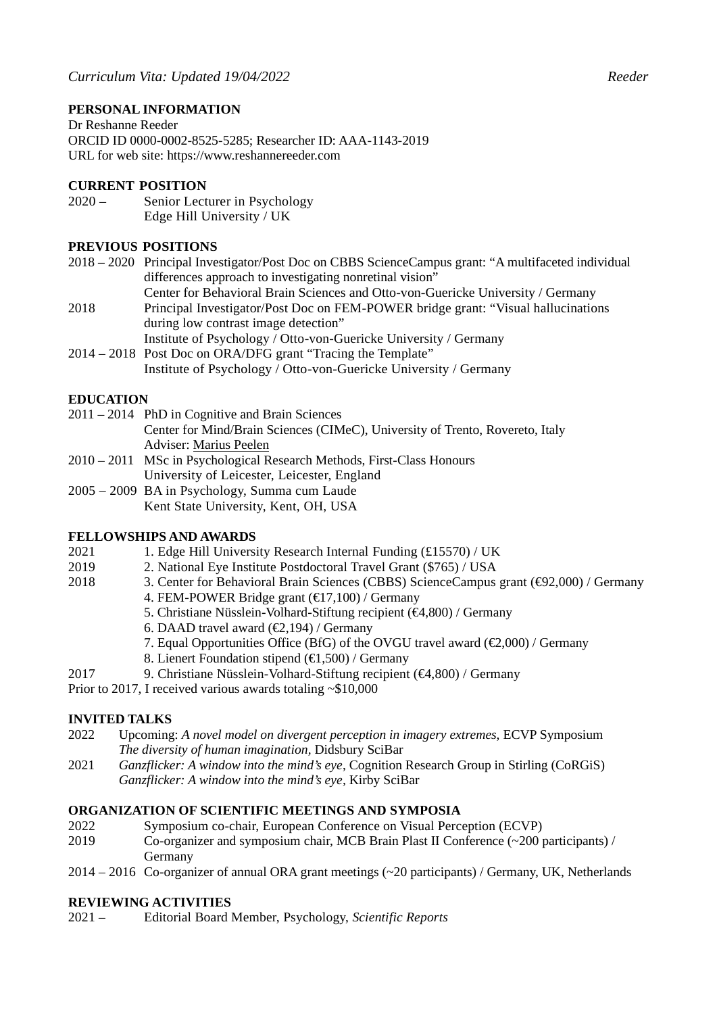## **PERSONAL INFORMATION**

Dr Reshanne Reeder ORCID ID 0000-0002-8525-5285; Researcher ID: AAA-1143-2019 URL for web site: https://www.reshannereeder.com

### **CURRENT POSITION**

2020 – Senior Lecturer in Psychology Edge Hill University / UK

### **PREVIOUS POSITIONS**

- 2018 2020 Principal Investigator/Post Doc on CBBS ScienceCampus grant: "A multifaceted individual differences approach to investigating nonretinal vision"
- Center for Behavioral Brain Sciences and Otto-von-Guericke University / Germany 2018 Principal Investigator/Post Doc on FEM-POWER bridge grant: "Visual hallucinations during low contrast image detection"
	- Institute of Psychology / Otto-von-Guericke University / Germany
- 2014 2018 Post Doc on ORA/DFG grant "Tracing the Template" Institute of Psychology / Otto-von-Guericke University / Germany

#### **EDUCATION**

2011 – 2014 PhD in Cognitive and Brain Sciences

Center for Mind/Brain Sciences (CIMeC), University of Trento, Rovereto, Italy Adviser: Marius Peelen

- 2010 2011 MSc in Psychological Research Methods, First-Class Honours University of Leicester, Leicester, England
- 2005 2009 BA in Psychology, Summa cum Laude Kent State University, Kent, OH, USA

# **FELLOWSHIPS AND AWARDS**

- 2021 1. Edge Hill University Research Internal Funding (£15570) / UK
- 2019 2. National Eye Institute Postdoctoral Travel Grant (\$765) / USA
- 2018 3. Center for Behavioral Brain Sciences (CBBS) ScienceCampus grant (€92,000) / Germany
	- 4. FEM-POWER Bridge grant (€17,100) / Germany
	- 5. Christiane Nüsslein-Volhard-Stiftung recipient (€4,800) / Germany
	- 6. DAAD travel award (€2,194) / Germany
	- 7. Equal Opportunities Office (BfG) of the OVGU travel award ( $\epsilon$ 2,000) / Germany
	- 8. Lienert Foundation stipend  $(E1,500)$  / Germany
- 2017 9. Christiane Nüsslein-Volhard-Stiftung recipient (€4,800) / Germany
- Prior to 2017, I received various awards totaling ~\$10,000

#### **INVITED TALKS**

- 2022 Upcoming: *A novel model on divergent perception in imagery extremes*, ECVP Symposium *The diversity of human imagination,* Didsbury SciBar
- 2021 *Ganzflicker: A window into the mind's eye*, Cognition Research Group in Stirling (CoRGiS) *Ganzflicker: A window into the mind's eye,* Kirby SciBar

#### **ORGANIZATION OF SCIENTIFIC MEETINGS AND SYMPOSIA**

- 2022 Symposium co-chair, European Conference on Visual Perception (ECVP)
- 2019 Co-organizer and symposium chair, MCB Brain Plast II Conference (~200 participants) / Germany
- 2014 2016 Co-organizer of annual ORA grant meetings (~20 participants) / Germany, UK, Netherlands

#### **REVIEWING ACTIVITIES**

2021 – Editorial Board Member, Psychology, *Scientific Reports*